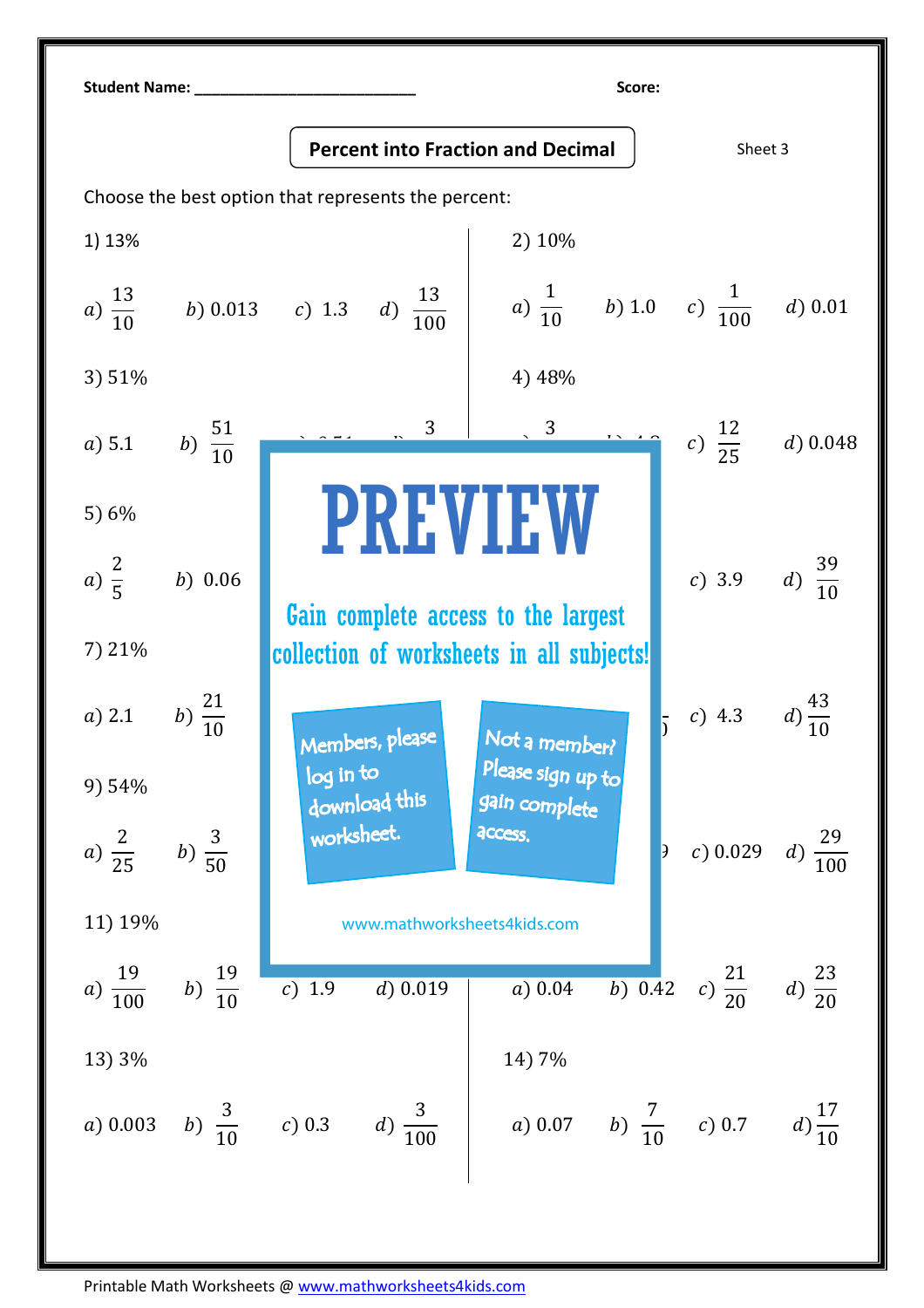| <b>Student Name:</b>                                |                    |                                                        |                                             |                             |                     |  |  |  |  |
|-----------------------------------------------------|--------------------|--------------------------------------------------------|---------------------------------------------|-----------------------------|---------------------|--|--|--|--|
|                                                     |                    | <b>Percent into Fraction and Decimal</b>               |                                             | Sheet 3                     |                     |  |  |  |  |
| Choose the best option that represents the percent: |                    |                                                        |                                             |                             |                     |  |  |  |  |
| 1) 13%                                              |                    |                                                        | 2) 10%                                      |                             |                     |  |  |  |  |
|                                                     |                    | a) $\frac{13}{10}$ b) 0.013 c) 1.3 d) $\frac{13}{100}$ | a) $\frac{1}{10}$ b) 1.0 c) $\frac{1}{100}$ |                             | $d)$ 0.01           |  |  |  |  |
| 3) 51%                                              |                    |                                                        | 4) 48%                                      |                             |                     |  |  |  |  |
| a) 5.1                                              | b) $\frac{51}{10}$ |                                                        |                                             | c) $\frac{12}{25}$ d) 0.048 |                     |  |  |  |  |
| 5) 6%                                               |                    | <b>PREVIEW</b>                                         |                                             |                             |                     |  |  |  |  |
| a) $\frac{2}{5}$                                    | b) 0.06            | Gain complete access to the largest                    |                                             | c) 3.9 $d) \frac{39}{10}$   |                     |  |  |  |  |
| 7) 21%                                              |                    | collection of worksheets in all subjects!              |                                             |                             |                     |  |  |  |  |
| $a)$ 2.1                                            | b) $\frac{21}{10}$ | Members, please                                        | Not a member?                               | c) 4.3                      |                     |  |  |  |  |
| 9) 54%                                              |                    | log in to<br>download this                             | Please sign up to<br>gain complete          |                             |                     |  |  |  |  |
| a) $\frac{2}{25}$ b) $\frac{3}{50}$                 |                    | worksheet.                                             | access.<br>$\overline{\mathcal{E}}$         | c) 0.029                    | $d) \frac{29}{100}$ |  |  |  |  |
| 11) 19%                                             |                    | www.mathworksheets4kids.com                            |                                             |                             |                     |  |  |  |  |
| $a) \frac{19}{100}$                                 | b) $\frac{19}{10}$ | c) 1.9<br>$d)$ 0.019                                   | $\overline{b}$ ) 0.42<br>a) 0.04            | c) $\frac{21}{20}$          | $d) \frac{23}{20}$  |  |  |  |  |
| 13) 3%                                              |                    |                                                        | 14) 7%                                      |                             |                     |  |  |  |  |
| a) 0.003                                            |                    | b) $\frac{3}{10}$ c) 0.3 d) $\frac{3}{100}$            | a) 0.07 b) $\frac{7}{10}$ c) 0.7            |                             | $d) \frac{17}{10}$  |  |  |  |  |